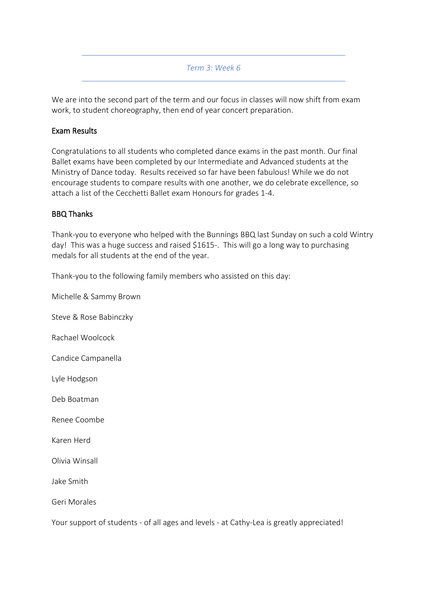#### *Term 3: Week 6*

We are into the second part of the term and our focus in classes will now shift from exam work, to student choreography, then end of year concert preparation.

#### Exam Results

Congratulations to all students who completed dance exams in the past month. Our final Ballet exams have been completed by our Intermediate and Advanced students at the Ministry of Dance today. Results received so far have been fabulous! While we do not encourage students to compare results with one another, we do celebrate excellence, so attach a list of the Cecchetti Ballet exam Honours for grades 1-4.

#### BBQ Thanks

Thank-you to everyone who helped with the Bunnings BBQ last Sunday on such a cold Wintry day! This was a huge success and raised \$1615-. This will go a long way to purchasing medals for all students at the end of the year.

Thank-you to the following family members who assisted on this day:

Michelle & Sammy Brown Steve & Rose Babinczky Rachael Woolcock Candice Campanella Lyle Hodgson Deb Boatman Renee Coombe Karen Herd Olivia Winsall Jake Smith Geri Morales Your support of students - of all ages and levels - at Cathy-Lea is greatly appreciated!